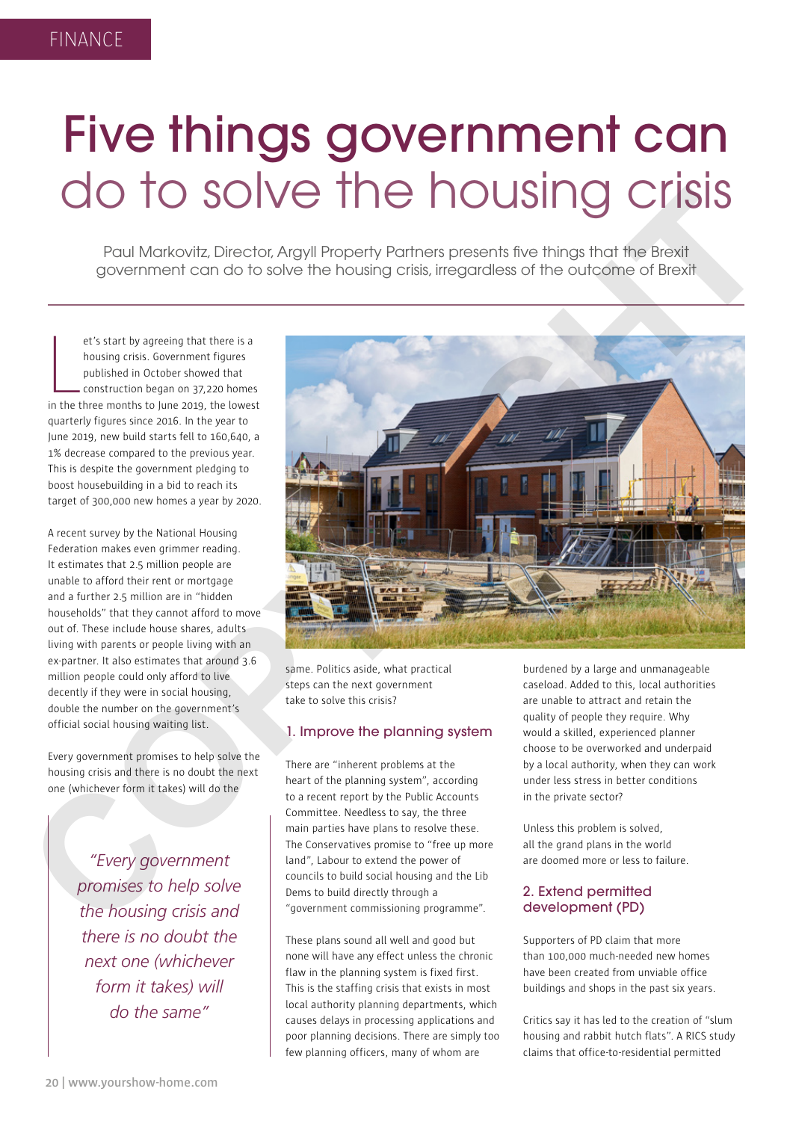**20 | www.yourshow-home.com**

# Five things government can do to solve the housing crisis

Paul Markovitz, Director, Argyll Property Partners presents five things that the Brexit government can do to solve the housing crisis, irregardless of the outcome of Brexit

et's start by agreeing that there is a<br>housing crisis. Government figures<br>published in October showed that<br>construction began on 37,220 homes<br>in the three months to June 2019, the lowest et's start by agreeing that there is a housing crisis. Government figures published in October showed that construction began on 37,220 homes quarterly figures since 2016. In the year to June 2019, new build starts fell to 160,640, a 1% decrease compared to the previous year. This is despite the government pledging to boost housebuilding in a bid to reach its target of 300,000 new homes a year by 2020.

A recent survey by the National Housing Federation makes even grimmer reading. It estimates that 2.5 million people are unable to afford their rent or mortgage and a further 2.5 million are in "hidden households" that they cannot afford to move out of. These include house shares, adults living with parents or people living with an ex-partner. It also estimates that around 3.6 million people could only afford to live decently if they were in social housing, double the number on the government's official social housing waiting list.

Every government promises to help solve the housing crisis and there is no doubt the next one (whichever form it takes) will do the

> *"Every government promises to help solve the housing crisis and there is no doubt the next one (whichever form it takes) will do the same"*

same. Politics aside, what practical steps can the next government take to solve this crisis?

#### 1. Improve the planning system

There are "inherent problems at the heart of the planning system", according to a recent report by the Public Accounts Committee. Needless to say, the three main parties have plans to resolve these. The Conservatives promise to "free up more land", Labour to extend the power of councils to build social housing and the Lib Dems to build directly through a "government commissioning programme".

These plans sound all well and good but none will have any effect unless the chronic flaw in the planning system is fixed first. This is the staffing crisis that exists in most local authority planning departments, which causes delays in processing applications and poor planning decisions. There are simply too few planning officers, many of whom are

burdened by a large and unmanageable caseload. Added to this, local authorities are unable to attract and retain the quality of people they require. Why would a skilled, experienced planner choose to be overworked and underpaid by a local authority, when they can work under less stress in better conditions in the private sector?

Unless this problem is solved, all the grand plans in the world are doomed more or less to failure.

### 2. Extend permitted development (PD)

Supporters of PD claim that more than 100,000 much-needed new homes have been created from unviable office buildings and shops in the past six years.

Critics say it has led to the creation of "slum housing and rabbit hutch flats". A RICS study claims that office-to-residential permitted